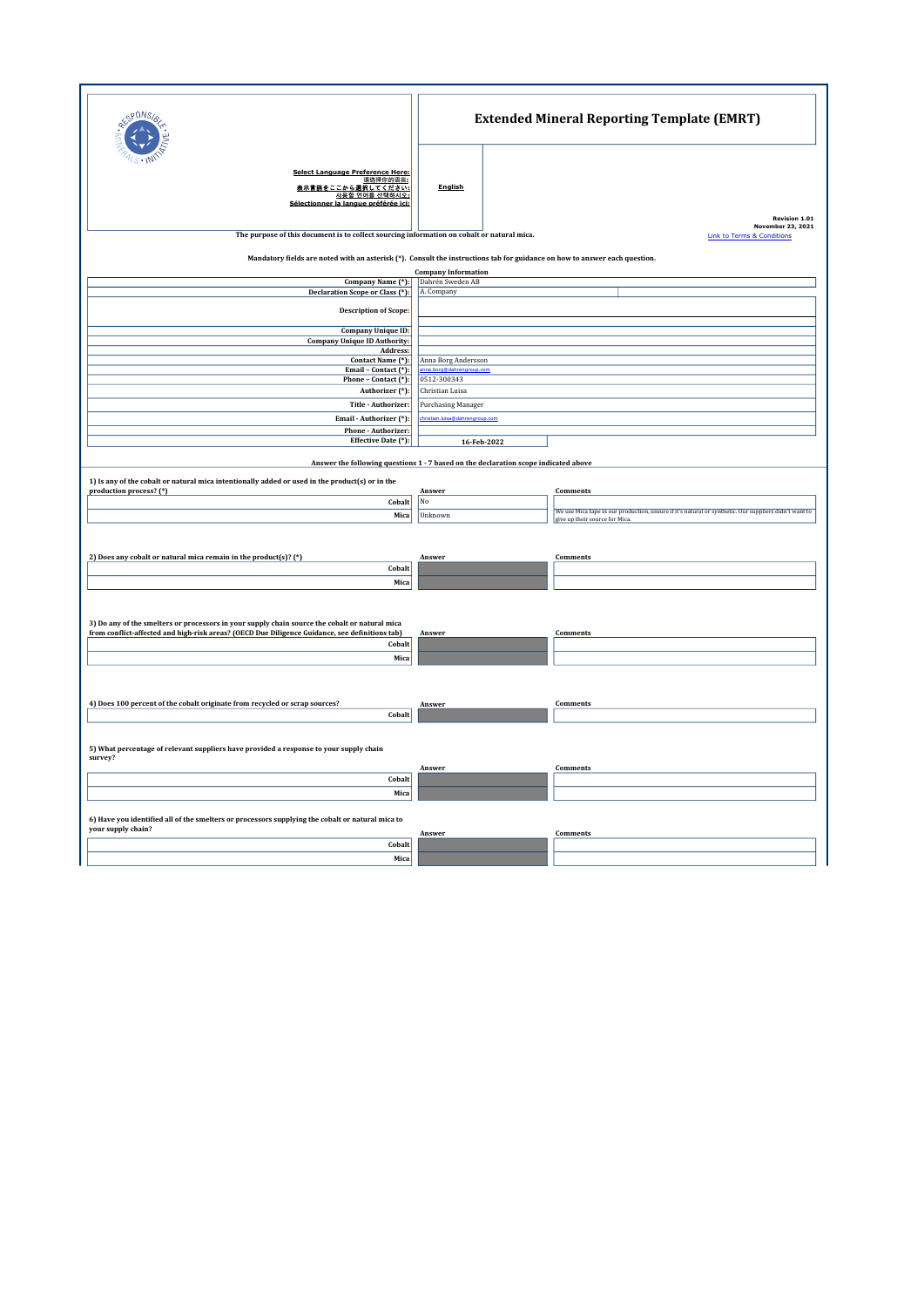| PONS.                                                                                                                                                                                                              | <b>Extended Mineral Reporting Template (EMRT)</b>                                                                                                        |                           |                                                                                                       |                                    |  |  |  |
|--------------------------------------------------------------------------------------------------------------------------------------------------------------------------------------------------------------------|----------------------------------------------------------------------------------------------------------------------------------------------------------|---------------------------|-------------------------------------------------------------------------------------------------------|------------------------------------|--|--|--|
| <b>Select Language Preference Here:</b><br>请选择你的语言:<br>表示言語をここから選択してください:<br>사용할 언어를 선택하시오:<br>Sélectionner la langue préférée ici:                                                                                | <b>English</b>                                                                                                                                           |                           |                                                                                                       |                                    |  |  |  |
|                                                                                                                                                                                                                    |                                                                                                                                                          |                           |                                                                                                       | Revision 1.01<br>November 23, 2021 |  |  |  |
| The purpose of this document is to collect sourcing information on cobalt or natural mica.<br><b>Link to Terms &amp; Conditions</b>                                                                                |                                                                                                                                                          |                           |                                                                                                       |                                    |  |  |  |
|                                                                                                                                                                                                                    | Mandatory fields are noted with an asterisk (*). Consult the instructions tab for guidance on how to answer each question.<br><b>Company Information</b> |                           |                                                                                                       |                                    |  |  |  |
| Company Name (*):<br>Declaration Scope or Class (*):                                                                                                                                                               | Dahrén Sweden AB<br>A. Company                                                                                                                           |                           |                                                                                                       |                                    |  |  |  |
| <b>Description of Scope:</b>                                                                                                                                                                                       |                                                                                                                                                          |                           |                                                                                                       |                                    |  |  |  |
| Company Unique ID:                                                                                                                                                                                                 |                                                                                                                                                          |                           |                                                                                                       |                                    |  |  |  |
| <b>Company Unique ID Authority:</b><br>Address:                                                                                                                                                                    |                                                                                                                                                          |                           |                                                                                                       |                                    |  |  |  |
| Contact Name (*):<br>Email - Contact (*):                                                                                                                                                                          | Anna Borg Andersson                                                                                                                                      |                           |                                                                                                       |                                    |  |  |  |
| Phone - Contact (*):                                                                                                                                                                                               | 0512-300343                                                                                                                                              |                           |                                                                                                       |                                    |  |  |  |
| Authorizer (*):                                                                                                                                                                                                    | Christian Luisa                                                                                                                                          |                           |                                                                                                       |                                    |  |  |  |
| Title - Authorizer:                                                                                                                                                                                                |                                                                                                                                                          | <b>Purchasing Manager</b> |                                                                                                       |                                    |  |  |  |
| Email - Authorizer (*):                                                                                                                                                                                            |                                                                                                                                                          | group.com                 |                                                                                                       |                                    |  |  |  |
| Phone - Authorizer:<br>Effective Date (*):                                                                                                                                                                         | 16-Feb-2022                                                                                                                                              |                           |                                                                                                       |                                    |  |  |  |
| Answer the following questions 1 - 7 based on the declaration scope indicated above<br>1) Is any of the cobalt or natural mica intentionally added or used in the product(s) or in the<br>production process? (*)  | Answer                                                                                                                                                   |                           | Comments                                                                                              |                                    |  |  |  |
| Cobalt                                                                                                                                                                                                             | No                                                                                                                                                       |                           | We use Mica tape in our production, unsure if it's natural or synthetic. Our suppliers didn't want to |                                    |  |  |  |
| Mica                                                                                                                                                                                                               | Unknown                                                                                                                                                  |                           | give up their source for Mica.                                                                        |                                    |  |  |  |
| 2) Does any cobalt or natural mica remain in the product(s)? (*)<br>Cobalt<br>Mica                                                                                                                                 | Answer                                                                                                                                                   |                           | Comments                                                                                              |                                    |  |  |  |
| 3) Do any of the smelters or processors in your supply chain source the cobalt or natural mica<br>from conflict-affected and high-risk areas? (OECD Due Diligence Guidance, see definitions tab)<br>Cobalt<br>Mica | Answer                                                                                                                                                   |                           | Comments                                                                                              |                                    |  |  |  |
| 4) Does 100 percent of the cobalt originate from recycled or scrap sources?<br>Cobalt                                                                                                                              | Answer                                                                                                                                                   |                           | Comments                                                                                              |                                    |  |  |  |
| 5) What percentage of relevant suppliers have provided a response to your supply chain<br>survey?                                                                                                                  |                                                                                                                                                          |                           |                                                                                                       |                                    |  |  |  |
| Cobalt                                                                                                                                                                                                             | Answer                                                                                                                                                   |                           | Comments                                                                                              |                                    |  |  |  |
| Mica                                                                                                                                                                                                               |                                                                                                                                                          |                           |                                                                                                       |                                    |  |  |  |
|                                                                                                                                                                                                                    |                                                                                                                                                          |                           |                                                                                                       |                                    |  |  |  |
| 6) Have you identified all of the smelters or processors supplying the cobalt or natural mica to<br>your supply chain?                                                                                             | Answer                                                                                                                                                   |                           | Comments                                                                                              |                                    |  |  |  |
| Cobalt                                                                                                                                                                                                             |                                                                                                                                                          |                           |                                                                                                       |                                    |  |  |  |
| Mica                                                                                                                                                                                                               |                                                                                                                                                          |                           |                                                                                                       |                                    |  |  |  |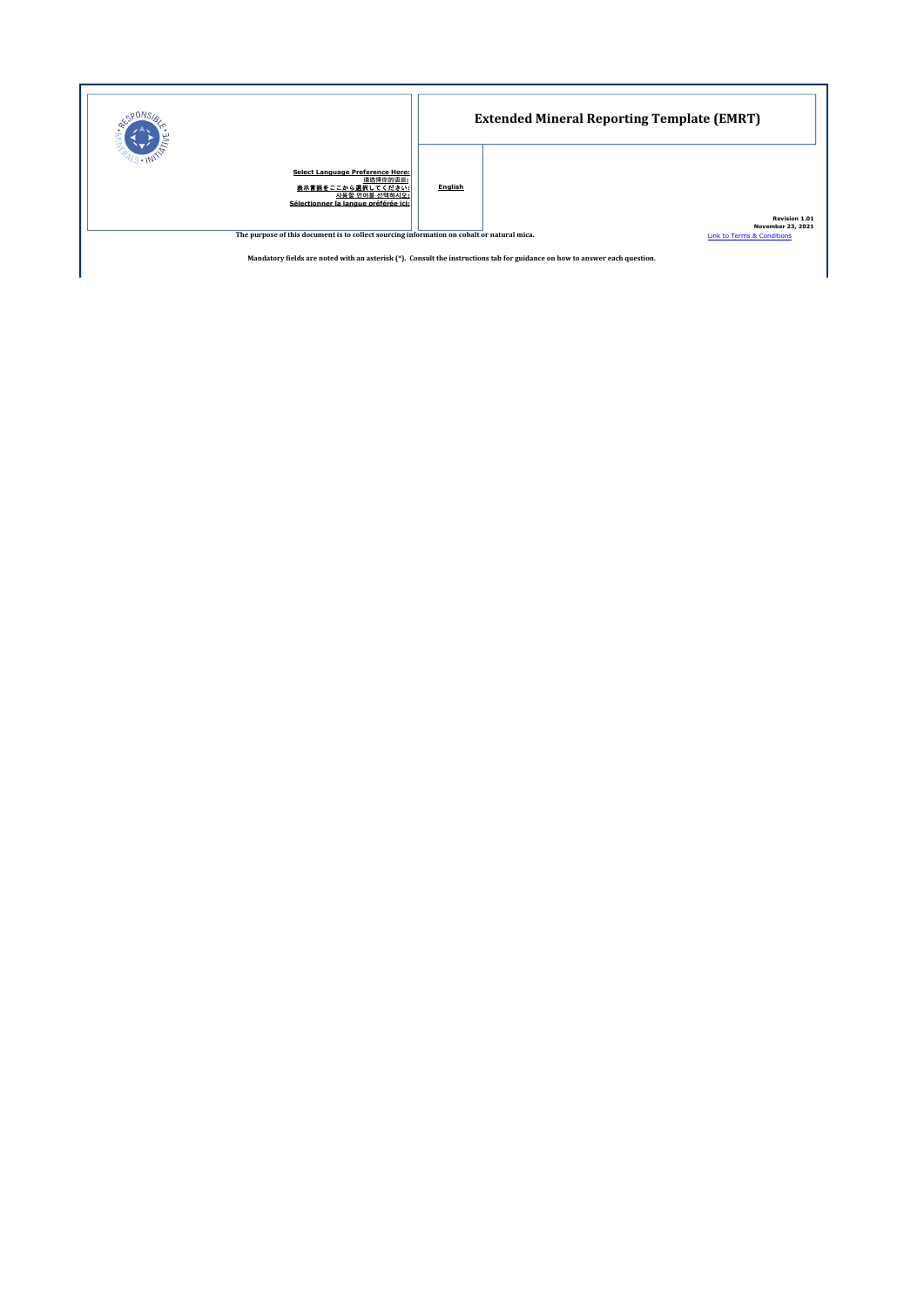|                                                                                                                                     | <b>Extended Mineral Reporting Template (EMRT)</b> |                                                                         |  |
|-------------------------------------------------------------------------------------------------------------------------------------|---------------------------------------------------|-------------------------------------------------------------------------|--|
| <b>Select Language Preference Here:</b><br>请选择你的语言:<br>表示言語をここから選択してください:<br>사용할 언어를 선택하시오:<br>Sélectionner la langue préférée ici: | English                                           |                                                                         |  |
| The purpose of this document is to collect sourcing information on cobalt or natural mica.                                          |                                                   | Revision 1.01<br><b>November 23, 2021</b><br>Link to Terms & Conditions |  |

Mandatory fields are noted with an asterisk (\*). Consult the instructions tab for guidance on how to answer each question.